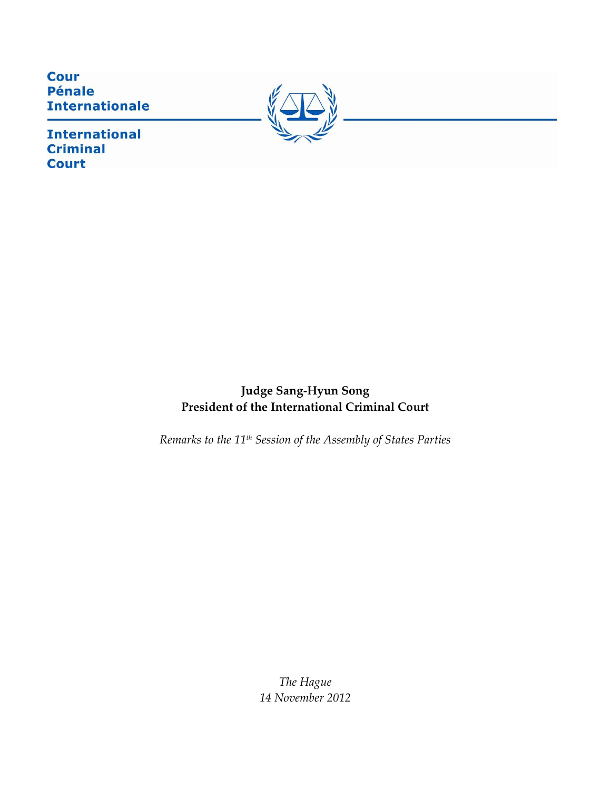**Cour Pénale Internationale** 



**International Criminal Court** 

> **Judge Sang-Hyun Song President of the International Criminal Court**

*Remarks to the 11th Session of the Assembly of States Parties*

*The Hague 14 November 2012*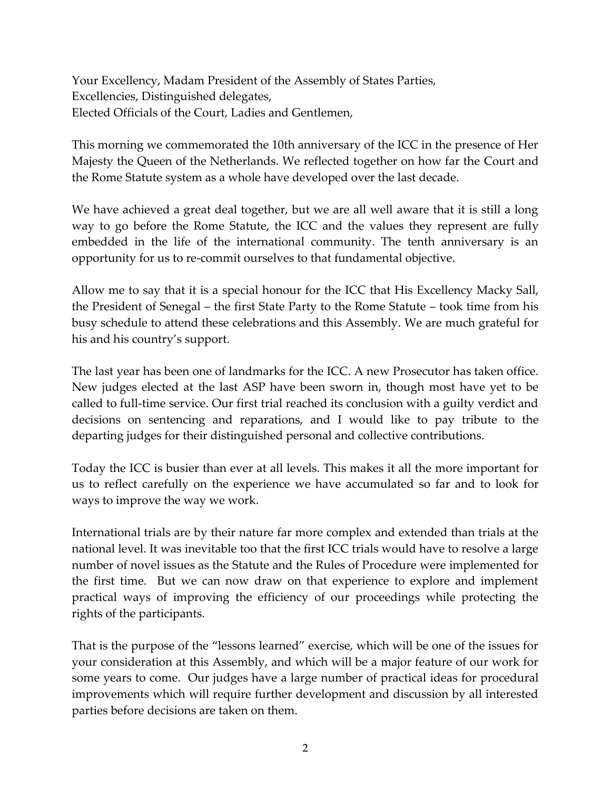Your Excellency, Madam President of the Assembly of States Parties, Excellencies, Distinguished delegates, Elected Officials of the Court, Ladies and Gentlemen,

This morning we commemorated the 10th anniversary of the ICC in the presence of Her Majesty the Queen of the Netherlands. We reflected together on how far the Court and the Rome Statute system as a whole have developed over the last decade.

We have achieved a great deal together, but we are all well aware that it is still a long way to go before the Rome Statute, the ICC and the values they represent are fully embedded in the life of the international community. The tenth anniversary is an opportunity for us to re-commit ourselves to that fundamental objective.

Allow me to say that it is a special honour for the ICC that His Excellency Macky Sall, the President of Senegal – the first State Party to the Rome Statute – took time from his busy schedule to attend these celebrations and this Assembly. We are much grateful for his and his country's support.

The last year has been one of landmarks for the ICC. A new Prosecutor has taken office. New judges elected at the last ASP have been sworn in, though most have yet to be called to full-time service. Our first trial reached its conclusion with a guilty verdict and decisions on sentencing and reparations, and I would like to pay tribute to the departing judges for their distinguished personal and collective contributions.

Today the ICC is busier than ever at all levels. This makes it all the more important for us to reflect carefully on the experience we have accumulated so far and to look for ways to improve the way we work.

International trials are by their nature far more complex and extended than trials at the national level. It was inevitable too that the first ICC trials would have to resolve a large number of novel issues as the Statute and the Rules of Procedure were implemented for the first time. But we can now draw on that experience to explore and implement practical ways of improving the efficiency of our proceedings while protecting the rights of the participants.

That is the purpose of the "lessons learned" exercise, which will be one of the issues for your consideration at this Assembly, and which will be a major feature of our work for some years to come. Our judges have a large number of practical ideas for procedural improvements which will require further development and discussion by all interested parties before decisions are taken on them.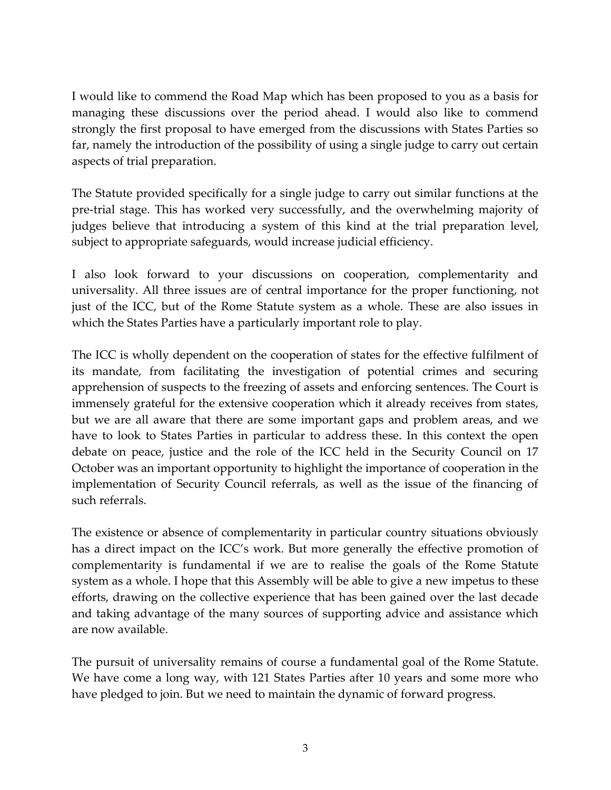I would like to commend the Road Map which has been proposed to you as a basis for managing these discussions over the period ahead. I would also like to commend strongly the first proposal to have emerged from the discussions with States Parties so far, namely the introduction of the possibility of using a single judge to carry out certain aspects of trial preparation.

The Statute provided specifically for a single judge to carry out similar functions at the pre-trial stage. This has worked very successfully, and the overwhelming majority of judges believe that introducing a system of this kind at the trial preparation level, subject to appropriate safeguards, would increase judicial efficiency.

I also look forward to your discussions on cooperation, complementarity and universality. All three issues are of central importance for the proper functioning, not just of the ICC, but of the Rome Statute system as a whole. These are also issues in which the States Parties have a particularly important role to play.

The ICC is wholly dependent on the cooperation of states for the effective fulfilment of its mandate, from facilitating the investigation of potential crimes and securing apprehension of suspects to the freezing of assets and enforcing sentences. The Court is immensely grateful for the extensive cooperation which it already receives from states, but we are all aware that there are some important gaps and problem areas, and we have to look to States Parties in particular to address these. In this context the open debate on peace, justice and the role of the ICC held in the Security Council on 17 October was an important opportunity to highlight the importance of cooperation in the implementation of Security Council referrals, as well as the issue of the financing of such referrals.

The existence or absence of complementarity in particular country situations obviously has a direct impact on the ICC's work. But more generally the effective promotion of complementarity is fundamental if we are to realise the goals of the Rome Statute system as a whole. I hope that this Assembly will be able to give a new impetus to these efforts, drawing on the collective experience that has been gained over the last decade and taking advantage of the many sources of supporting advice and assistance which are now available.

The pursuit of universality remains of course a fundamental goal of the Rome Statute. We have come a long way, with 121 States Parties after 10 years and some more who have pledged to join. But we need to maintain the dynamic of forward progress.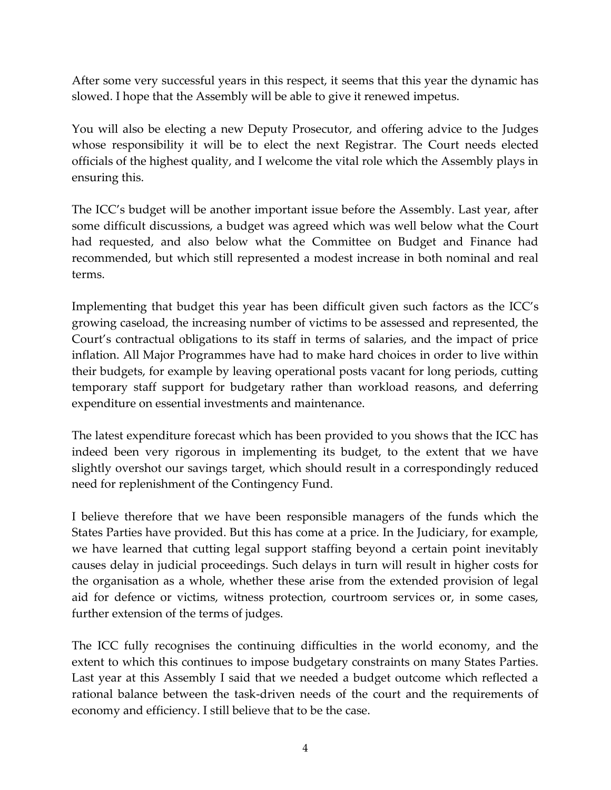After some very successful years in this respect, it seems that this year the dynamic has slowed. I hope that the Assembly will be able to give it renewed impetus.

You will also be electing a new Deputy Prosecutor, and offering advice to the Judges whose responsibility it will be to elect the next Registrar. The Court needs elected officials of the highest quality, and I welcome the vital role which the Assembly plays in ensuring this.

The ICC's budget will be another important issue before the Assembly. Last year, after some difficult discussions, a budget was agreed which was well below what the Court had requested, and also below what the Committee on Budget and Finance had recommended, but which still represented a modest increase in both nominal and real terms.

Implementing that budget this year has been difficult given such factors as the ICC's growing caseload, the increasing number of victims to be assessed and represented, the Court's contractual obligations to its staff in terms of salaries, and the impact of price inflation. All Major Programmes have had to make hard choices in order to live within their budgets, for example by leaving operational posts vacant for long periods, cutting temporary staff support for budgetary rather than workload reasons, and deferring expenditure on essential investments and maintenance.

The latest expenditure forecast which has been provided to you shows that the ICC has indeed been very rigorous in implementing its budget, to the extent that we have slightly overshot our savings target, which should result in a correspondingly reduced need for replenishment of the Contingency Fund.

I believe therefore that we have been responsible managers of the funds which the States Parties have provided. But this has come at a price. In the Judiciary, for example, we have learned that cutting legal support staffing beyond a certain point inevitably causes delay in judicial proceedings. Such delays in turn will result in higher costs for the organisation as a whole, whether these arise from the extended provision of legal aid for defence or victims, witness protection, courtroom services or, in some cases, further extension of the terms of judges.

The ICC fully recognises the continuing difficulties in the world economy, and the extent to which this continues to impose budgetary constraints on many States Parties. Last year at this Assembly I said that we needed a budget outcome which reflected a rational balance between the task-driven needs of the court and the requirements of economy and efficiency. I still believe that to be the case.